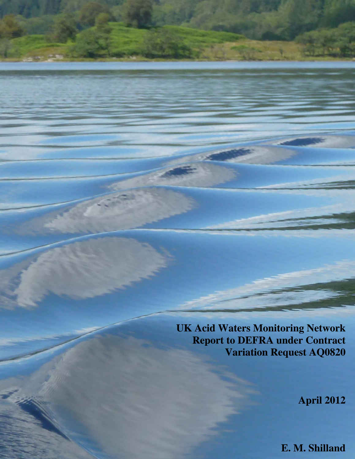**UK Acid Waters Monitoring Network Report to DEFRA under Contract Variation Request AQ0820**

**April 2012**

**E. M. Shilland**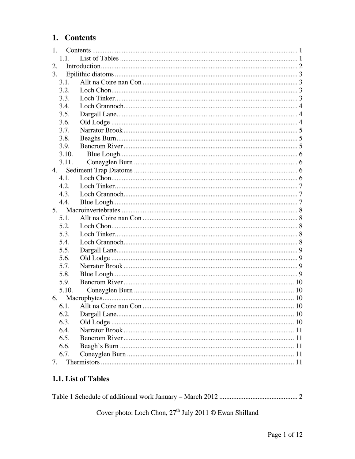# <span id="page-1-0"></span>1. Contents

|       | 1. |  |  |  |  |
|-------|----|--|--|--|--|
| 1.1.  |    |  |  |  |  |
| 2.    |    |  |  |  |  |
| 3.    |    |  |  |  |  |
| 3.1.  |    |  |  |  |  |
| 3.2.  |    |  |  |  |  |
| 3.3.  |    |  |  |  |  |
| 3.4.  |    |  |  |  |  |
| 3.5.  |    |  |  |  |  |
| 3.6.  |    |  |  |  |  |
| 3.7.  |    |  |  |  |  |
| 3.8.  |    |  |  |  |  |
| 3.9.  |    |  |  |  |  |
| 3.10. |    |  |  |  |  |
| 3.11. |    |  |  |  |  |
| 4.    |    |  |  |  |  |
| 4.1.  |    |  |  |  |  |
| 4.2.  |    |  |  |  |  |
| 4.3.  |    |  |  |  |  |
| 4.4.  |    |  |  |  |  |
| 5.    |    |  |  |  |  |
|       |    |  |  |  |  |
| 5.1.  |    |  |  |  |  |
| 5.2.  |    |  |  |  |  |
| 5.3.  |    |  |  |  |  |
| 5.4.  |    |  |  |  |  |
| 5.5.  |    |  |  |  |  |
| 5.6.  |    |  |  |  |  |
| 5.7.  |    |  |  |  |  |
| 5.8.  |    |  |  |  |  |
| 5.9.  |    |  |  |  |  |
| 5.10. |    |  |  |  |  |
| 6.    |    |  |  |  |  |
|       |    |  |  |  |  |
| 6.2.  |    |  |  |  |  |
| 6.3.  |    |  |  |  |  |
| 6.4.  |    |  |  |  |  |
| 6.5.  |    |  |  |  |  |
| 6.6.  |    |  |  |  |  |
| 6.7.  |    |  |  |  |  |

## 1.1. List of Tables

Cover photo: Loch Chon,  $27<sup>th</sup>$  July 2011 © Ewan Shilland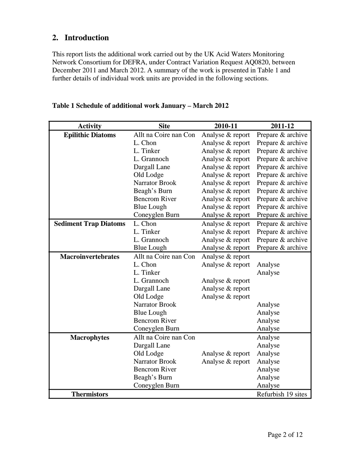# <span id="page-2-0"></span>**2. Introduction**

This report lists the additional work carried out by the UK Acid Waters Monitoring Network Consortium for DEFRA, under Contract Variation Request AQ0820, between December 2011 and March 2012. A summary of the work is presented in [Table 1](#page-2-1) and further details of individual work units are provided in the following sections.

<span id="page-2-1"></span>

| <b>Activity</b>              | <b>Site</b>           | 2010-11          | 2011-12            |
|------------------------------|-----------------------|------------------|--------------------|
| <b>Epilithic Diatoms</b>     | Allt na Coire nan Con | Analyse & report | Prepare & archive  |
|                              | L. Chon               | Analyse & report | Prepare & archive  |
|                              | L. Tinker             | Analyse & report | Prepare & archive  |
|                              | L. Grannoch           | Analyse & report | Prepare & archive  |
|                              | Dargall Lane          | Analyse & report | Prepare & archive  |
|                              | Old Lodge             | Analyse & report | Prepare & archive  |
|                              | <b>Narrator Brook</b> | Analyse & report | Prepare & archive  |
|                              | Beagh's Burn          | Analyse & report | Prepare & archive  |
|                              | <b>Bencrom River</b>  | Analyse & report | Prepare & archive  |
|                              | <b>Blue Lough</b>     | Analyse & report | Prepare & archive  |
|                              | Coneyglen Burn        | Analyse & report | Prepare & archive  |
| <b>Sediment Trap Diatoms</b> | L. Chon               | Analyse & report | Prepare & archive  |
|                              | L. Tinker             | Analyse & report | Prepare & archive  |
|                              | L. Grannoch           | Analyse & report | Prepare & archive  |
|                              | <b>Blue Lough</b>     | Analyse & report | Prepare & archive  |
| <b>Macroinvertebrates</b>    | Allt na Coire nan Con | Analyse & report |                    |
|                              | L. Chon               | Analyse & report | Analyse            |
|                              | L. Tinker             |                  | Analyse            |
|                              | L. Grannoch           | Analyse & report |                    |
|                              | Dargall Lane          | Analyse & report |                    |
|                              | Old Lodge             | Analyse & report |                    |
|                              | <b>Narrator Brook</b> |                  | Analyse            |
|                              | <b>Blue Lough</b>     |                  | Analyse            |
|                              | <b>Bencrom River</b>  |                  | Analyse            |
|                              | Coneyglen Burn        |                  | Analyse            |
| <b>Macrophytes</b>           | Allt na Coire nan Con |                  | Analyse            |
|                              | Dargall Lane          |                  | Analyse            |
|                              | Old Lodge             | Analyse & report | Analyse            |
|                              | <b>Narrator Brook</b> | Analyse & report | Analyse            |
|                              | <b>Bencrom River</b>  |                  | Analyse            |
|                              | Beagh's Burn          |                  | Analyse            |
|                              | Coneyglen Burn        |                  | Analyse            |
| <b>Thermistors</b>           |                       |                  | Refurbish 19 sites |

#### **Table 1 Schedule of additional work January – March 2012**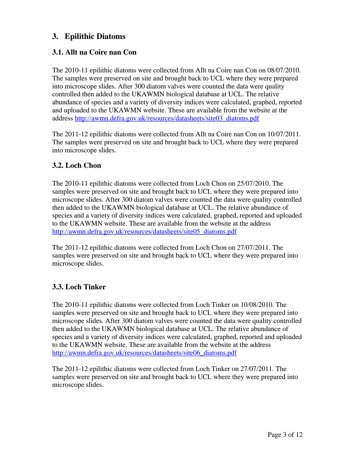# <span id="page-3-0"></span>**3. Epilithic Diatoms**

## **3.1. Allt na Coire nan Con**

The 2010-11 epilithic diatoms were collected from Allt na Coire nan Con on 08/07/2010. The samples were preserved on site and brought back to UCL where they were prepared into microscope slides. After 300 diatom valves were counted the data were quality controlled then added to the UKAWMN biological database at UCL. The relative abundance of species and a variety of diversity indices were calculated, graphed, reported and uploaded to the UKAWMN website. These are available from the website at the address [http://awmn.defra.gov.uk/resources/datasheets/site03\\_diatoms.pdf](http://awmn.defra.gov.uk/resources/datasheets/site03_diatoms.pdf)

The 2011-12 epilithic diatoms were collected from Allt na Coire nan Con on 10/07/2011. The samples were preserved on site and brought back to UCL where they were prepared into microscope slides.

### **3.2. Loch Chon**

The 2010-11 epilithic diatoms were collected from Loch Chon on 25/07/2010. The samples were preserved on site and brought back to UCL where they were prepared into microscope slides. After 300 diatom valves were counted the data were quality controlled then added to the UKAWMN biological database at UCL. The relative abundance of species and a variety of diversity indices were calculated, graphed, reported and uploaded to the UKAWMN website. These are available from the website at the address [http://awmn.defra.gov.uk/resources/datasheets/site05\\_diatoms.pdf](http://awmn.defra.gov.uk/resources/datasheets/site05_diatoms.pdf)

The 2011-12 epilithic diatoms were collected from Loch Chon on 27/07/2011. The samples were preserved on site and brought back to UCL where they were prepared into microscope slides.

### **3.3. Loch Tinker**

The 2010-11 epilithic diatoms were collected from Loch Tinker on 10/08/2010. The samples were preserved on site and brought back to UCL where they were prepared into microscope slides. After 300 diatom valves were counted the data were quality controlled then added to the UKAWMN biological database at UCL. The relative abundance of species and a variety of diversity indices were calculated, graphed, reported and uploaded to the UKAWMN website. These are available from the website at the address [http://awmn.defra.gov.uk/resources/datasheets/site06\\_diatoms.pdf](http://awmn.defra.gov.uk/resources/datasheets/site06_diatoms.pdf)

The 2011-12 epilithic diatoms were collected from Loch Tinker on 27/07/2011. The samples were preserved on site and brought back to UCL where they were prepared into microscope slides.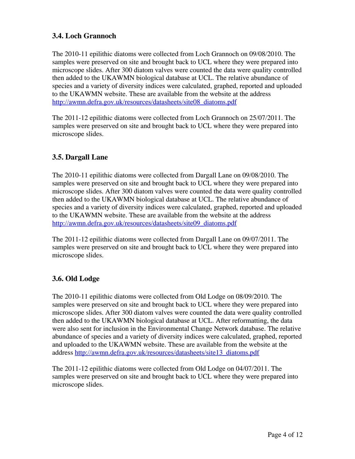## <span id="page-4-0"></span>**3.4. Loch Grannoch**

The 2010-11 epilithic diatoms were collected from Loch Grannoch on 09/08/2010. The samples were preserved on site and brought back to UCL where they were prepared into microscope slides. After 300 diatom valves were counted the data were quality controlled then added to the UKAWMN biological database at UCL. The relative abundance of species and a variety of diversity indices were calculated, graphed, reported and uploaded to the UKAWMN website. These are available from the website at the address [http://awmn.defra.gov.uk/resources/datasheets/site08\\_diatoms.pdf](http://awmn.defra.gov.uk/resources/datasheets/site08_diatoms.pdf)

The 2011-12 epilithic diatoms were collected from Loch Grannoch on 25/07/2011. The samples were preserved on site and brought back to UCL where they were prepared into microscope slides.

### **3.5. Dargall Lane**

The 2010-11 epilithic diatoms were collected from Dargall Lane on 09/08/2010. The samples were preserved on site and brought back to UCL where they were prepared into microscope slides. After 300 diatom valves were counted the data were quality controlled then added to the UKAWMN biological database at UCL. The relative abundance of species and a variety of diversity indices were calculated, graphed, reported and uploaded to the UKAWMN website. These are available from the website at the address [http://awmn.defra.gov.uk/resources/datasheets/site09\\_diatoms.pdf](http://awmn.defra.gov.uk/resources/datasheets/site09_diatoms.pdf)

The 2011-12 epilithic diatoms were collected from Dargall Lane on 09/07/2011. The samples were preserved on site and brought back to UCL where they were prepared into microscope slides.

## **3.6. Old Lodge**

The 2010-11 epilithic diatoms were collected from Old Lodge on 08/09/2010. The samples were preserved on site and brought back to UCL where they were prepared into microscope slides. After 300 diatom valves were counted the data were quality controlled then added to the UKAWMN biological database at UCL. After reformatting, the data were also sent for inclusion in the Environmental Change Network database. The relative abundance of species and a variety of diversity indices were calculated, graphed, reported and uploaded to the UKAWMN website. These are available from the website at the address [http://awmn.defra.gov.uk/resources/datasheets/site13\\_diatoms.pdf](http://awmn.defra.gov.uk/resources/datasheets/site13_diatoms.pdf)

The 2011-12 epilithic diatoms were collected from Old Lodge on 04/07/2011. The samples were preserved on site and brought back to UCL where they were prepared into microscope slides.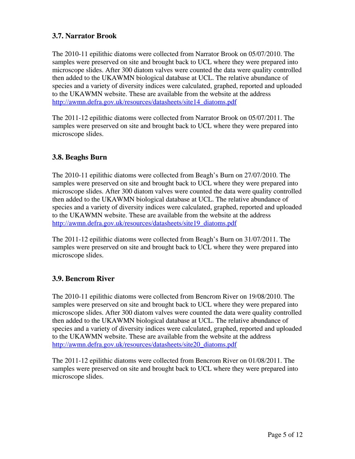### <span id="page-5-0"></span>**3.7. Narrator Brook**

The 2010-11 epilithic diatoms were collected from Narrator Brook on 05/07/2010. The samples were preserved on site and brought back to UCL where they were prepared into microscope slides. After 300 diatom valves were counted the data were quality controlled then added to the UKAWMN biological database at UCL. The relative abundance of species and a variety of diversity indices were calculated, graphed, reported and uploaded to the UKAWMN website. These are available from the website at the address [http://awmn.defra.gov.uk/resources/datasheets/site14\\_diatoms.pdf](http://awmn.defra.gov.uk/resources/datasheets/site14_diatoms.pdf)

The 2011-12 epilithic diatoms were collected from Narrator Brook on 05/07/2011. The samples were preserved on site and brought back to UCL where they were prepared into microscope slides.

### **3.8. Beaghs Burn**

The 2010-11 epilithic diatoms were collected from Beagh's Burn on 27/07/2010. The samples were preserved on site and brought back to UCL where they were prepared into microscope slides. After 300 diatom valves were counted the data were quality controlled then added to the UKAWMN biological database at UCL. The relative abundance of species and a variety of diversity indices were calculated, graphed, reported and uploaded to the UKAWMN website. These are available from the website at the address [http://awmn.defra.gov.uk/resources/datasheets/site19\\_diatoms.pdf](http://awmn.defra.gov.uk/resources/datasheets/site19_diatoms.pdf)

The 2011-12 epilithic diatoms were collected from Beagh's Burn on 31/07/2011. The samples were preserved on site and brought back to UCL where they were prepared into microscope slides.

## **3.9. Bencrom River**

The 2010-11 epilithic diatoms were collected from Bencrom River on 19/08/2010. The samples were preserved on site and brought back to UCL where they were prepared into microscope slides. After 300 diatom valves were counted the data were quality controlled then added to the UKAWMN biological database at UCL. The relative abundance of species and a variety of diversity indices were calculated, graphed, reported and uploaded to the UKAWMN website. These are available from the website at the address [http://awmn.defra.gov.uk/resources/datasheets/site20\\_diatoms.pdf](http://awmn.defra.gov.uk/resources/datasheets/site20_diatoms.pdf)

The 2011-12 epilithic diatoms were collected from Bencrom River on 01/08/2011. The samples were preserved on site and brought back to UCL where they were prepared into microscope slides.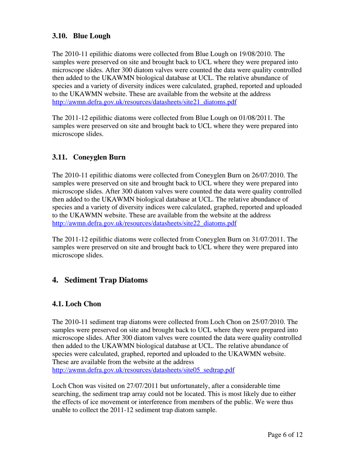### <span id="page-6-0"></span>**3.10. Blue Lough**

The 2010-11 epilithic diatoms were collected from Blue Lough on 19/08/2010. The samples were preserved on site and brought back to UCL where they were prepared into microscope slides. After 300 diatom valves were counted the data were quality controlled then added to the UKAWMN biological database at UCL. The relative abundance of species and a variety of diversity indices were calculated, graphed, reported and uploaded to the UKAWMN website. These are available from the website at the address [http://awmn.defra.gov.uk/resources/datasheets/site21\\_diatoms.pdf](http://awmn.defra.gov.uk/resources/datasheets/site21_diatoms.pdf)

The 2011-12 epilithic diatoms were collected from Blue Lough on 01/08/2011. The samples were preserved on site and brought back to UCL where they were prepared into microscope slides.

### **3.11. Coneyglen Burn**

The 2010-11 epilithic diatoms were collected from Coneyglen Burn on 26/07/2010. The samples were preserved on site and brought back to UCL where they were prepared into microscope slides. After 300 diatom valves were counted the data were quality controlled then added to the UKAWMN biological database at UCL. The relative abundance of species and a variety of diversity indices were calculated, graphed, reported and uploaded to the UKAWMN website. These are available from the website at the address [http://awmn.defra.gov.uk/resources/datasheets/site22\\_diatoms.pdf](http://awmn.defra.gov.uk/resources/datasheets/site22_diatoms.pdf)

The 2011-12 epilithic diatoms were collected from Coneyglen Burn on 31/07/2011. The samples were preserved on site and brought back to UCL where they were prepared into microscope slides.

# **4. Sediment Trap Diatoms**

### **4.1. Loch Chon**

The 2010-11 sediment trap diatoms were collected from Loch Chon on 25/07/2010. The samples were preserved on site and brought back to UCL where they were prepared into microscope slides. After 300 diatom valves were counted the data were quality controlled then added to the UKAWMN biological database at UCL. The relative abundance of species were calculated, graphed, reported and uploaded to the UKAWMN website. These are available from the website at the address [http://awmn.defra.gov.uk/resources/datasheets/site05\\_sedtrap.pdf](http://awmn.defra.gov.uk/resources/datasheets/site05_sedtrap.pdf)

Loch Chon was visited on 27/07/2011 but unfortunately, after a considerable time searching, the sediment trap array could not be located. This is most likely due to either the effects of ice movement or interference from members of the public. We were thus unable to collect the 2011-12 sediment trap diatom sample.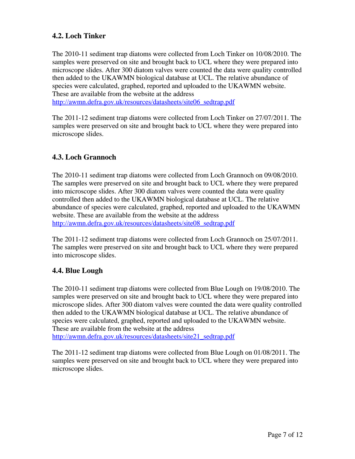## <span id="page-7-0"></span>**4.2. Loch Tinker**

The 2010-11 sediment trap diatoms were collected from Loch Tinker on 10/08/2010. The samples were preserved on site and brought back to UCL where they were prepared into microscope slides. After 300 diatom valves were counted the data were quality controlled then added to the UKAWMN biological database at UCL. The relative abundance of species were calculated, graphed, reported and uploaded to the UKAWMN website. These are available from the website at the address [http://awmn.defra.gov.uk/resources/datasheets/site06\\_sedtrap.pdf](http://awmn.defra.gov.uk/resources/datasheets/site06_sedtrap.pdf)

The 2011-12 sediment trap diatoms were collected from Loch Tinker on 27/07/2011. The samples were preserved on site and brought back to UCL where they were prepared into

### **4.3. Loch Grannoch**

microscope slides.

The 2010-11 sediment trap diatoms were collected from Loch Grannoch on 09/08/2010. The samples were preserved on site and brought back to UCL where they were prepared into microscope slides. After 300 diatom valves were counted the data were quality controlled then added to the UKAWMN biological database at UCL. The relative abundance of species were calculated, graphed, reported and uploaded to the UKAWMN website. These are available from the website at the address [http://awmn.defra.gov.uk/resources/datasheets/site08\\_sedtrap.pdf](http://awmn.defra.gov.uk/resources/datasheets/site08_sedtrap.pdf)

The 2011-12 sediment trap diatoms were collected from Loch Grannoch on 25/07/2011. The samples were preserved on site and brought back to UCL where they were prepared into microscope slides.

## **4.4. Blue Lough**

The 2010-11 sediment trap diatoms were collected from Blue Lough on 19/08/2010. The samples were preserved on site and brought back to UCL where they were prepared into microscope slides. After 300 diatom valves were counted the data were quality controlled then added to the UKAWMN biological database at UCL. The relative abundance of species were calculated, graphed, reported and uploaded to the UKAWMN website. These are available from the website at the address [http://awmn.defra.gov.uk/resources/datasheets/site21\\_sedtrap.pdf](http://awmn.defra.gov.uk/resources/datasheets/site21_sedtrap.pdf)

The 2011-12 sediment trap diatoms were collected from Blue Lough on 01/08/2011. The samples were preserved on site and brought back to UCL where they were prepared into microscope slides.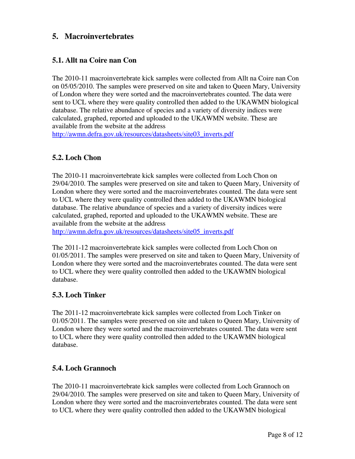# <span id="page-8-0"></span>**5. Macroinvertebrates**

### **5.1. Allt na Coire nan Con**

The 2010-11 macroinvertebrate kick samples were collected from Allt na Coire nan Con on 05/05/2010. The samples were preserved on site and taken to Queen Mary, University of London where they were sorted and the macroinvertebrates counted. The data were sent to UCL where they were quality controlled then added to the UKAWMN biological database. The relative abundance of species and a variety of diversity indices were calculated, graphed, reported and uploaded to the UKAWMN website. These are available from the website at the address

[http://awmn.defra.gov.uk/resources/datasheets/site03\\_inverts.pdf](http://awmn.defra.gov.uk/resources/datasheets/site03_inverts.pdf)

#### **5.2. Loch Chon**

The 2010-11 macroinvertebrate kick samples were collected from Loch Chon on 29/04/2010. The samples were preserved on site and taken to Queen Mary, University of London where they were sorted and the macroinvertebrates counted. The data were sent to UCL where they were quality controlled then added to the UKAWMN biological database. The relative abundance of species and a variety of diversity indices were calculated, graphed, reported and uploaded to the UKAWMN website. These are available from the website at the address

[http://awmn.defra.gov.uk/resources/datasheets/site05\\_inverts.pdf](http://awmn.defra.gov.uk/resources/datasheets/site05_inverts.pdf)

The 2011-12 macroinvertebrate kick samples were collected from Loch Chon on 01/05/2011. The samples were preserved on site and taken to Queen Mary, University of London where they were sorted and the macroinvertebrates counted. The data were sent to UCL where they were quality controlled then added to the UKAWMN biological database.

#### **5.3. Loch Tinker**

The 2011-12 macroinvertebrate kick samples were collected from Loch Tinker on 01/05/2011. The samples were preserved on site and taken to Queen Mary, University of London where they were sorted and the macroinvertebrates counted. The data were sent to UCL where they were quality controlled then added to the UKAWMN biological database.

### **5.4. Loch Grannoch**

The 2010-11 macroinvertebrate kick samples were collected from Loch Grannoch on 29/04/2010. The samples were preserved on site and taken to Queen Mary, University of London where they were sorted and the macroinvertebrates counted. The data were sent to UCL where they were quality controlled then added to the UKAWMN biological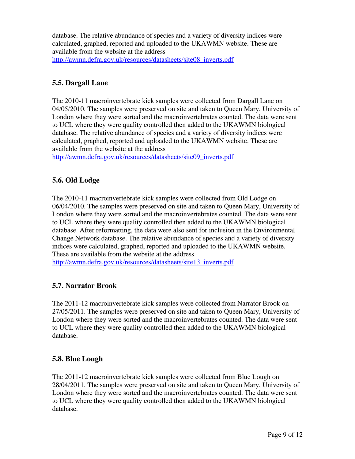<span id="page-9-0"></span>database. The relative abundance of species and a variety of diversity indices were calculated, graphed, reported and uploaded to the UKAWMN website. These are available from the website at the address [http://awmn.defra.gov.uk/resources/datasheets/site08\\_inverts.pdf](http://awmn.defra.gov.uk/resources/datasheets/site08_inverts.pdf)

### **5.5. Dargall Lane**

The 2010-11 macroinvertebrate kick samples were collected from Dargall Lane on 04/05/2010. The samples were preserved on site and taken to Queen Mary, University of London where they were sorted and the macroinvertebrates counted. The data were sent to UCL where they were quality controlled then added to the UKAWMN biological database. The relative abundance of species and a variety of diversity indices were calculated, graphed, reported and uploaded to the UKAWMN website. These are available from the website at the address

[http://awmn.defra.gov.uk/resources/datasheets/site09\\_inverts.pdf](http://awmn.defra.gov.uk/resources/datasheets/site09_inverts.pdf)

### **5.6. Old Lodge**

The 2010-11 macroinvertebrate kick samples were collected from Old Lodge on 06/04/2010. The samples were preserved on site and taken to Queen Mary, University of London where they were sorted and the macroinvertebrates counted. The data were sent to UCL where they were quality controlled then added to the UKAWMN biological database. After reformatting, the data were also sent for inclusion in the Environmental Change Network database. The relative abundance of species and a variety of diversity indices were calculated, graphed, reported and uploaded to the UKAWMN website. These are available from the website at the address [http://awmn.defra.gov.uk/resources/datasheets/site13\\_inverts.pdf](http://awmn.defra.gov.uk/resources/datasheets/site13_inverts.pdf)

### **5.7. Narrator Brook**

The 2011-12 macroinvertebrate kick samples were collected from Narrator Brook on 27/05/2011. The samples were preserved on site and taken to Queen Mary, University of London where they were sorted and the macroinvertebrates counted. The data were sent to UCL where they were quality controlled then added to the UKAWMN biological database.

### **5.8. Blue Lough**

The 2011-12 macroinvertebrate kick samples were collected from Blue Lough on 28/04/2011. The samples were preserved on site and taken to Queen Mary, University of London where they were sorted and the macroinvertebrates counted. The data were sent to UCL where they were quality controlled then added to the UKAWMN biological database.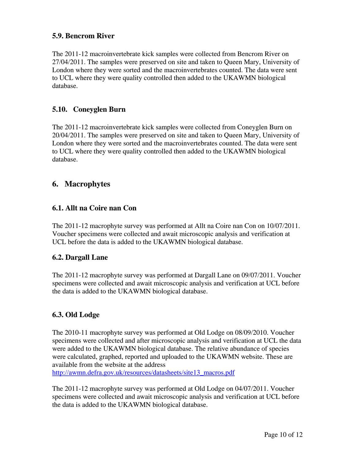#### <span id="page-10-0"></span>**5.9. Bencrom River**

The 2011-12 macroinvertebrate kick samples were collected from Bencrom River on 27/04/2011. The samples were preserved on site and taken to Queen Mary, University of London where they were sorted and the macroinvertebrates counted. The data were sent to UCL where they were quality controlled then added to the UKAWMN biological database.

#### **5.10. Coneyglen Burn**

The 2011-12 macroinvertebrate kick samples were collected from Coneyglen Burn on 20/04/2011. The samples were preserved on site and taken to Queen Mary, University of London where they were sorted and the macroinvertebrates counted. The data were sent to UCL where they were quality controlled then added to the UKAWMN biological database.

### **6. Macrophytes**

#### **6.1. Allt na Coire nan Con**

The 2011-12 macrophyte survey was performed at Allt na Coire nan Con on 10/07/2011. Voucher specimens were collected and await microscopic analysis and verification at UCL before the data is added to the UKAWMN biological database.

#### **6.2. Dargall Lane**

The 2011-12 macrophyte survey was performed at Dargall Lane on 09/07/2011. Voucher specimens were collected and await microscopic analysis and verification at UCL before the data is added to the UKAWMN biological database.

#### **6.3. Old Lodge**

The 2010-11 macrophyte survey was performed at Old Lodge on 08/09/2010. Voucher specimens were collected and after microscopic analysis and verification at UCL the data were added to the UKAWMN biological database. The relative abundance of species were calculated, graphed, reported and uploaded to the UKAWMN website. These are available from the website at the address [http://awmn.defra.gov.uk/resources/datasheets/site13\\_macros.pdf](http://awmn.defra.gov.uk/resources/datasheets/site13_macros.pdf)

The 2011-12 macrophyte survey was performed at Old Lodge on 04/07/2011. Voucher specimens were collected and await microscopic analysis and verification at UCL before the data is added to the UKAWMN biological database.